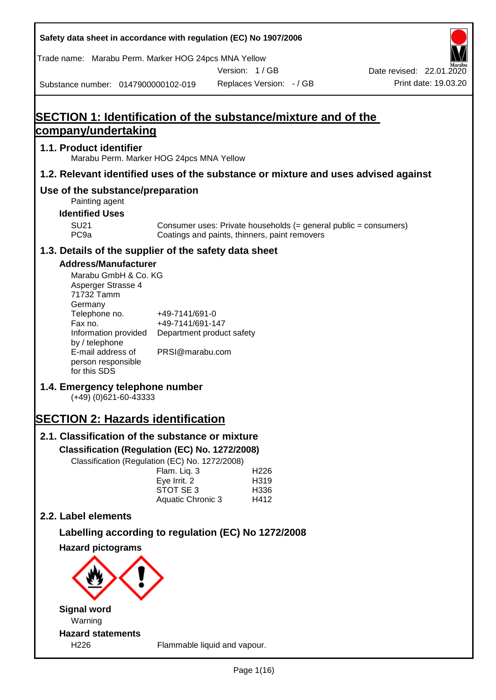**Safety data sheet in accordance with regulation (EC) No 1907/2006** Substance number: 0147900000102-019 Version: 1 / GB Replaces Version: - / GB Print date: 19.03.20 Date revised: 22.01.2020 Trade name: Marabu Perm. Marker HOG 24pcs MNA Yellow **SECTION 1: Identification of the substance/mixture and of the company/undertaking 1.1. Product identifier** Marabu Perm. Marker HOG 24pcs MNA Yellow **1.2. Relevant identified uses of the substance or mixture and uses advised against Use of the substance/preparation** Painting agent **Identified Uses** SU21 Consumer uses: Private households (= general public = consumers)<br>PC9a Coatings and paints, thinners, paint removers Coatings and paints, thinners, paint removers **1.3. Details of the supplier of the safety data sheet Address/Manufacturer** Marabu GmbH & Co. KG Asperger Strasse 4 71732 Tamm **Germany** Telephone no. +49-7141/691-0 Fax no.  $+49-7141/691-147$ Information provided Department product safety by / telephone E-mail address of person responsible for this SDS PRSI@marabu.com **1.4. Emergency telephone number** (+49) (0)621-60-43333 **SECTION 2: Hazards identification 2.1. Classification of the substance or mixture Classification (Regulation (EC) No. 1272/2008)** Classification (Regulation (EC) No. 1272/2008) Flam. Liq. 3 H226 Eye Irrit. 2 H319 STOT SE 3 H336 Aquatic Chronic 3 H412 **2.2. Label elements Labelling according to regulation (EC) No 1272/2008 Hazard pictograms Signal word** Warning **Hazard statements** H226 Flammable liquid and vapour.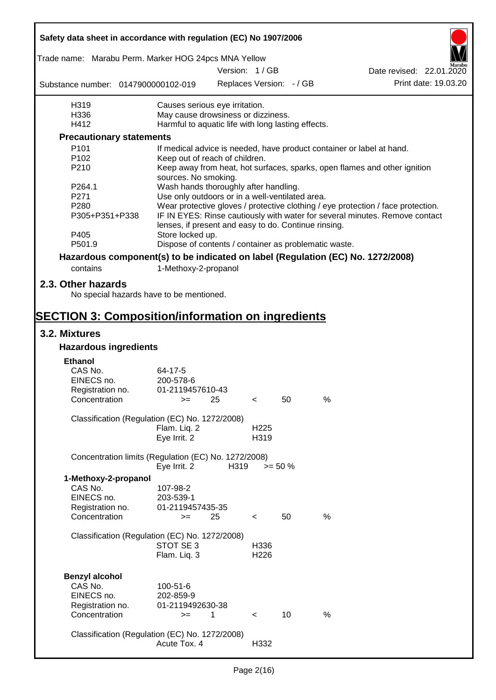| Safety data sheet in accordance with regulation (EC) No 1907/2006                                                          |                                                                           |      |                          |    |   |                                                                                  |
|----------------------------------------------------------------------------------------------------------------------------|---------------------------------------------------------------------------|------|--------------------------|----|---|----------------------------------------------------------------------------------|
| Trade name: Marabu Perm. Marker HOG 24pcs MNA Yellow                                                                       |                                                                           |      |                          |    |   |                                                                                  |
|                                                                                                                            |                                                                           |      | Version: 1/GB            |    |   | Date revised: 22.01.2020                                                         |
| Substance number: 0147900000102-019                                                                                        |                                                                           |      | Replaces Version: - / GB |    |   | Print date: 19.03.20                                                             |
| H319                                                                                                                       | Causes serious eye irritation.                                            |      |                          |    |   |                                                                                  |
| H336                                                                                                                       | May cause drowsiness or dizziness.                                        |      |                          |    |   |                                                                                  |
| H412                                                                                                                       | Harmful to aquatic life with long lasting effects.                        |      |                          |    |   |                                                                                  |
| <b>Precautionary statements</b>                                                                                            |                                                                           |      |                          |    |   |                                                                                  |
| P <sub>101</sub>                                                                                                           |                                                                           |      |                          |    |   | If medical advice is needed, have product container or label at hand.            |
| P <sub>102</sub>                                                                                                           | Keep out of reach of children.                                            |      |                          |    |   |                                                                                  |
| P210                                                                                                                       | sources. No smoking.                                                      |      |                          |    |   | Keep away from heat, hot surfaces, sparks, open flames and other ignition        |
| P264.1                                                                                                                     | Wash hands thoroughly after handling.                                     |      |                          |    |   |                                                                                  |
| P271                                                                                                                       | Use only outdoors or in a well-ventilated area.                           |      |                          |    |   |                                                                                  |
| P280                                                                                                                       |                                                                           |      |                          |    |   | Wear protective gloves / protective clothing / eye protection / face protection. |
| P305+P351+P338<br>P405                                                                                                     | lenses, if present and easy to do. Continue rinsing.                      |      |                          |    |   | IF IN EYES: Rinse cautiously with water for several minutes. Remove contact      |
| P501.9                                                                                                                     | Store locked up.<br>Dispose of contents / container as problematic waste. |      |                          |    |   |                                                                                  |
|                                                                                                                            |                                                                           |      |                          |    |   |                                                                                  |
| Hazardous component(s) to be indicated on label (Regulation (EC) No. 1272/2008)                                            |                                                                           |      |                          |    |   |                                                                                  |
| contains                                                                                                                   | 1-Methoxy-2-propanol                                                      |      |                          |    |   |                                                                                  |
| 2.3. Other hazards<br>No special hazards have to be mentioned.<br><b>SECTION 3: Composition/information on ingredients</b> |                                                                           |      |                          |    |   |                                                                                  |
|                                                                                                                            |                                                                           |      |                          |    |   |                                                                                  |
| 3.2. Mixtures<br><b>Hazardous ingredients</b>                                                                              |                                                                           |      |                          |    |   |                                                                                  |
|                                                                                                                            |                                                                           |      |                          |    |   |                                                                                  |
| <b>Ethanol</b>                                                                                                             |                                                                           |      |                          |    |   |                                                                                  |
| CAS No.                                                                                                                    | 64-17-5                                                                   |      |                          |    |   |                                                                                  |
| EINECS no.                                                                                                                 | 200-578-6                                                                 |      |                          |    |   |                                                                                  |
| Registration no.                                                                                                           | 01-2119457610-43                                                          |      |                          |    |   |                                                                                  |
| Concentration                                                                                                              | $>=$ 25                                                                   |      | $\epsilon$               | 50 | % |                                                                                  |
| Classification (Regulation (EC) No. 1272/2008)                                                                             |                                                                           |      |                          |    |   |                                                                                  |
|                                                                                                                            | Flam. Liq. 2                                                              |      | H <sub>225</sub>         |    |   |                                                                                  |
|                                                                                                                            | Eye Irrit. 2                                                              |      | H319                     |    |   |                                                                                  |
|                                                                                                                            |                                                                           |      |                          |    |   |                                                                                  |
| Concentration limits (Regulation (EC) No. 1272/2008)                                                                       | Eye Irrit. 2                                                              | H319 | $>= 50 \%$               |    |   |                                                                                  |
| 1-Methoxy-2-propanol                                                                                                       |                                                                           |      |                          |    |   |                                                                                  |
| CAS No.                                                                                                                    | 107-98-2                                                                  |      |                          |    |   |                                                                                  |
| EINECS no.                                                                                                                 | 203-539-1                                                                 |      |                          |    |   |                                                                                  |
| Registration no.                                                                                                           | 01-2119457435-35                                                          |      |                          |    |   |                                                                                  |
| Concentration                                                                                                              | $=$                                                                       | 25   | $\overline{\phantom{0}}$ | 50 | % |                                                                                  |
|                                                                                                                            |                                                                           |      |                          |    |   |                                                                                  |
| Classification (Regulation (EC) No. 1272/2008)                                                                             |                                                                           |      |                          |    |   |                                                                                  |
|                                                                                                                            | STOT SE 3                                                                 |      | H336                     |    |   |                                                                                  |
|                                                                                                                            | Flam. Liq. 3                                                              |      | H <sub>226</sub>         |    |   |                                                                                  |
|                                                                                                                            |                                                                           |      |                          |    |   |                                                                                  |
| <b>Benzyl alcohol</b>                                                                                                      |                                                                           |      |                          |    |   |                                                                                  |
| CAS No.                                                                                                                    | 100-51-6                                                                  |      |                          |    |   |                                                                                  |
| EINECS no.                                                                                                                 | 202-859-9                                                                 |      |                          |    |   |                                                                                  |
| Registration no.                                                                                                           | 01-2119492630-38                                                          |      |                          |    |   |                                                                                  |
| Concentration                                                                                                              | $>=$                                                                      | 1    | $\prec$                  | 10 | % |                                                                                  |
| Classification (Regulation (EC) No. 1272/2008)                                                                             |                                                                           |      |                          |    |   |                                                                                  |
|                                                                                                                            | Acute Tox. 4                                                              |      | H332                     |    |   |                                                                                  |
|                                                                                                                            |                                                                           |      |                          |    |   |                                                                                  |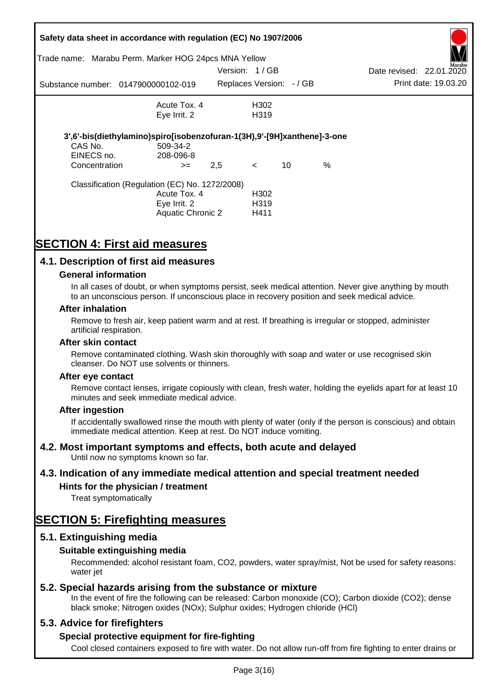|               | Safety data sheet in accordance with regulation (EC) No 1907/2006       |               |                          |    |      |                          |                      |
|---------------|-------------------------------------------------------------------------|---------------|--------------------------|----|------|--------------------------|----------------------|
| Trade name:   | Marabu Perm. Marker HOG 24pcs MNA Yellow                                |               |                          |    |      |                          | Marabu               |
|               |                                                                         | Version: 1/GB |                          |    |      | Date revised: 22.01.2020 |                      |
|               | Substance number: 0147900000102-019                                     |               | Replaces Version: - / GB |    |      |                          | Print date: 19.03.20 |
|               | Acute Tox. 4                                                            |               | H302                     |    |      |                          |                      |
|               | Eye Irrit. 2                                                            |               | H <sub>3</sub> 19        |    |      |                          |                      |
|               | 3',6'-bis(diethylamino)spiro[isobenzofuran-1(3H),9'-[9H]xanthene]-3-one |               |                          |    |      |                          |                      |
| CAS No.       | 509-34-2                                                                |               |                          |    |      |                          |                      |
| EINECS no.    | 208-096-8                                                               |               |                          |    |      |                          |                      |
| Concentration | $>=$                                                                    | 2,5           | $\prec$                  | 10 | $\%$ |                          |                      |
|               | Classification (Regulation (EC) No. 1272/2008)                          |               |                          |    |      |                          |                      |
|               | Acute Tox. 4                                                            |               | H302                     |    |      |                          |                      |
|               | Eye Irrit. 2                                                            |               | H <sub>3</sub> 19        |    |      |                          |                      |
|               | Aquatic Chronic 2                                                       |               | H411                     |    |      |                          |                      |

# **SECTION 4: First aid measures**

# **4.1. Description of first aid measures**

### **General information**

In all cases of doubt, or when symptoms persist, seek medical attention. Never give anything by mouth to an unconscious person. If unconscious place in recovery position and seek medical advice.

#### **After inhalation**

Remove to fresh air, keep patient warm and at rest. If breathing is irregular or stopped, administer artificial respiration.

#### **After skin contact**

Remove contaminated clothing. Wash skin thoroughly with soap and water or use recognised skin cleanser. Do NOT use solvents or thinners.

#### **After eye contact**

Remove contact lenses, irrigate copiously with clean, fresh water, holding the eyelids apart for at least 10 minutes and seek immediate medical advice.

#### **After ingestion**

If accidentally swallowed rinse the mouth with plenty of water (only if the person is conscious) and obtain immediate medical attention. Keep at rest. Do NOT induce vomiting.

## **4.2. Most important symptoms and effects, both acute and delayed**

Until now no symptoms known so far.

## **4.3. Indication of any immediate medical attention and special treatment needed**

## **Hints for the physician / treatment**

Treat symptomatically

# **SECTION 5: Firefighting measures**

## **5.1. Extinguishing media**

## **Suitable extinguishing media**

Recommended: alcohol resistant foam, CO2, powders, water spray/mist, Not be used for safety reasons: water *iet* 

## **5.2. Special hazards arising from the substance or mixture**

In the event of fire the following can be released: Carbon monoxide (CO); Carbon dioxide (CO2); dense black smoke; Nitrogen oxides (NOx); Sulphur oxides; Hydrogen chloride (HCl)

## **5.3. Advice for firefighters**

## **Special protective equipment for fire-fighting**

Cool closed containers exposed to fire with water. Do not allow run-off from fire fighting to enter drains or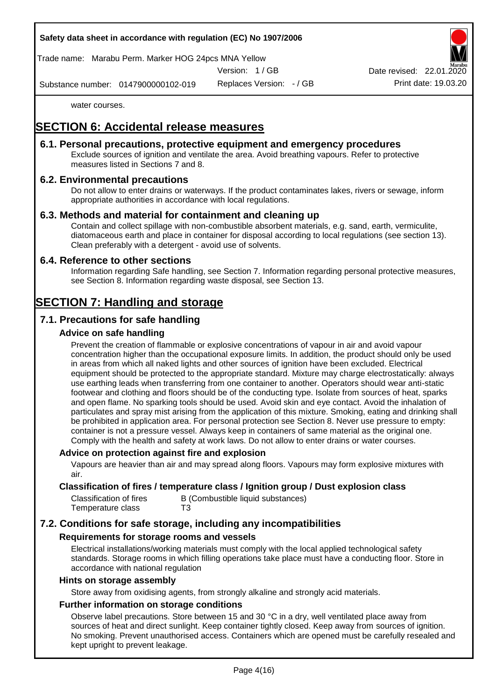## **Safety data sheet in accordance with regulation (EC) No 1907/2006**

Trade name: Marabu Perm. Marker HOG 24pcs MNA Yellow

Version: 1 / GB

Replaces Version: - / GB Print date: 19.03.20 Date revised: 22.01.

Substance number: 0147900000102-019

water courses.

# **SECTION 6: Accidental release measures**

## **6.1. Personal precautions, protective equipment and emergency procedures**

Exclude sources of ignition and ventilate the area. Avoid breathing vapours. Refer to protective measures listed in Sections 7 and 8.

## **6.2. Environmental precautions**

Do not allow to enter drains or waterways. If the product contaminates lakes, rivers or sewage, inform appropriate authorities in accordance with local regulations.

### **6.3. Methods and material for containment and cleaning up**

Contain and collect spillage with non-combustible absorbent materials, e.g. sand, earth, vermiculite, diatomaceous earth and place in container for disposal according to local regulations (see section 13). Clean preferably with a detergent - avoid use of solvents.

### **6.4. Reference to other sections**

Information regarding Safe handling, see Section 7. Information regarding personal protective measures, see Section 8. Information regarding waste disposal, see Section 13.

# **SECTION 7: Handling and storage**

# **7.1. Precautions for safe handling**

### **Advice on safe handling**

Prevent the creation of flammable or explosive concentrations of vapour in air and avoid vapour concentration higher than the occupational exposure limits. In addition, the product should only be used in areas from which all naked lights and other sources of ignition have been excluded. Electrical equipment should be protected to the appropriate standard. Mixture may charge electrostatically: always use earthing leads when transferring from one container to another. Operators should wear anti-static footwear and clothing and floors should be of the conducting type. Isolate from sources of heat, sparks and open flame. No sparking tools should be used. Avoid skin and eye contact. Avoid the inhalation of particulates and spray mist arising from the application of this mixture. Smoking, eating and drinking shall be prohibited in application area. For personal protection see Section 8. Never use pressure to empty: container is not a pressure vessel. Always keep in containers of same material as the original one. Comply with the health and safety at work laws. Do not allow to enter drains or water courses.

#### **Advice on protection against fire and explosion**

Vapours are heavier than air and may spread along floors. Vapours may form explosive mixtures with air.

### **Classification of fires / temperature class / Ignition group / Dust explosion class**

| Classification of fires | B (Combustible liquid substances) |
|-------------------------|-----------------------------------|
| Temperature class       | T3                                |

# **7.2. Conditions for safe storage, including any incompatibilities**

#### **Requirements for storage rooms and vessels**

Electrical installations/working materials must comply with the local applied technological safety standards. Storage rooms in which filling operations take place must have a conducting floor. Store in accordance with national regulation

#### **Hints on storage assembly**

Store away from oxidising agents, from strongly alkaline and strongly acid materials.

### **Further information on storage conditions**

Observe label precautions. Store between 15 and 30 °C in a dry, well ventilated place away from sources of heat and direct sunlight. Keep container tightly closed. Keep away from sources of ignition. No smoking. Prevent unauthorised access. Containers which are opened must be carefully resealed and kept upright to prevent leakage.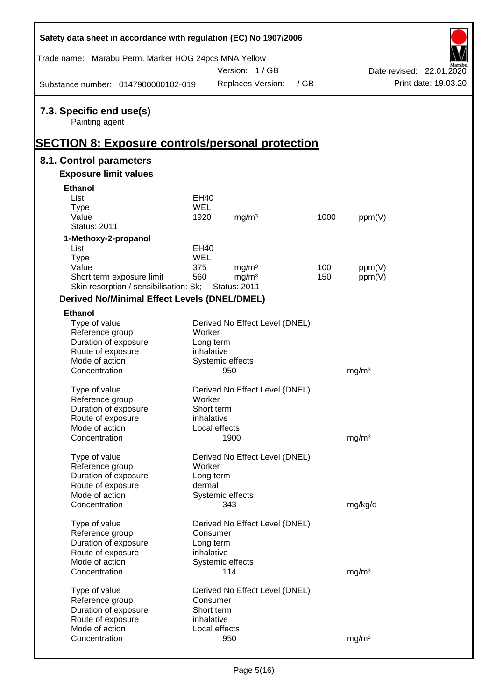| Safety data sheet in accordance with regulation (EC) No 1907/2006                                     |                         |                                |      |                   |                          |
|-------------------------------------------------------------------------------------------------------|-------------------------|--------------------------------|------|-------------------|--------------------------|
| Trade name: Marabu Perm. Marker HOG 24pcs MNA Yellow                                                  |                         | Version: 1/GB                  |      |                   | Date revised: 22.01.2020 |
| Substance number: 0147900000102-019                                                                   |                         | Replaces Version: - / GB       |      |                   | Print date: 19.03.20     |
| 7.3. Specific end use(s)<br>Painting agent<br><b>SECTION 8: Exposure controls/personal protection</b> |                         |                                |      |                   |                          |
| 8.1. Control parameters                                                                               |                         |                                |      |                   |                          |
| <b>Exposure limit values</b>                                                                          |                         |                                |      |                   |                          |
| <b>Ethanol</b>                                                                                        |                         |                                |      |                   |                          |
| List                                                                                                  | EH40                    |                                |      |                   |                          |
| <b>Type</b>                                                                                           | <b>WEL</b>              |                                |      |                   |                          |
| Value                                                                                                 | 1920                    | mg/m <sup>3</sup>              | 1000 | ppm(V)            |                          |
| <b>Status: 2011</b>                                                                                   |                         |                                |      |                   |                          |
| 1-Methoxy-2-propanol                                                                                  |                         |                                |      |                   |                          |
| List                                                                                                  | EH40                    |                                |      |                   |                          |
| <b>Type</b>                                                                                           | <b>WEL</b>              |                                |      |                   |                          |
| Value                                                                                                 | 375                     | mg/m <sup>3</sup>              | 100  | ppm(V)            |                          |
| Short term exposure limit                                                                             | 560                     | mg/m <sup>3</sup>              | 150  | ppm(V)            |                          |
| Skin resorption / sensibilisation: Sk;                                                                |                         | <b>Status: 2011</b>            |      |                   |                          |
| <b>Derived No/Minimal Effect Levels (DNEL/DMEL)</b>                                                   |                         |                                |      |                   |                          |
| <b>Ethanol</b>                                                                                        |                         |                                |      |                   |                          |
| Type of value                                                                                         |                         | Derived No Effect Level (DNEL) |      |                   |                          |
| Reference group                                                                                       | Worker                  |                                |      |                   |                          |
| Duration of exposure<br>Route of exposure                                                             | Long term<br>inhalative |                                |      |                   |                          |
| Mode of action                                                                                        |                         | Systemic effects               |      |                   |                          |
| Concentration                                                                                         |                         | 950                            |      | mg/m <sup>3</sup> |                          |
|                                                                                                       |                         |                                |      |                   |                          |
| Type of value                                                                                         |                         | Derived No Effect Level (DNEL) |      |                   |                          |
| Reference group                                                                                       | Worker                  |                                |      |                   |                          |
| Duration of exposure                                                                                  | Short term              |                                |      |                   |                          |
| Route of exposure                                                                                     | inhalative              |                                |      |                   |                          |
| Mode of action                                                                                        |                         | Local effects                  |      |                   |                          |
| Concentration                                                                                         |                         | 1900                           |      | mg/m <sup>3</sup> |                          |
| Type of value                                                                                         |                         | Derived No Effect Level (DNEL) |      |                   |                          |
| Reference group                                                                                       | Worker                  |                                |      |                   |                          |
| Duration of exposure                                                                                  | Long term               |                                |      |                   |                          |
| Route of exposure                                                                                     | dermal                  |                                |      |                   |                          |
| Mode of action                                                                                        |                         | Systemic effects               |      |                   |                          |
| Concentration                                                                                         |                         | 343                            |      | mg/kg/d           |                          |
| Type of value                                                                                         |                         |                                |      |                   |                          |
| Reference group                                                                                       | Consumer                | Derived No Effect Level (DNEL) |      |                   |                          |
| Duration of exposure                                                                                  | Long term               |                                |      |                   |                          |
| Route of exposure                                                                                     | inhalative              |                                |      |                   |                          |
| Mode of action                                                                                        |                         | Systemic effects               |      |                   |                          |
| Concentration                                                                                         |                         | 114                            |      | mg/m <sup>3</sup> |                          |
|                                                                                                       |                         |                                |      |                   |                          |
| Type of value                                                                                         |                         | Derived No Effect Level (DNEL) |      |                   |                          |
| Reference group                                                                                       | Consumer                |                                |      |                   |                          |
| Duration of exposure                                                                                  | Short term              |                                |      |                   |                          |
| Route of exposure<br>Mode of action                                                                   | inhalative              | Local effects                  |      |                   |                          |
| Concentration                                                                                         |                         | 950                            |      | mg/m <sup>3</sup> |                          |
|                                                                                                       |                         |                                |      |                   |                          |

 $\mathsf{r}$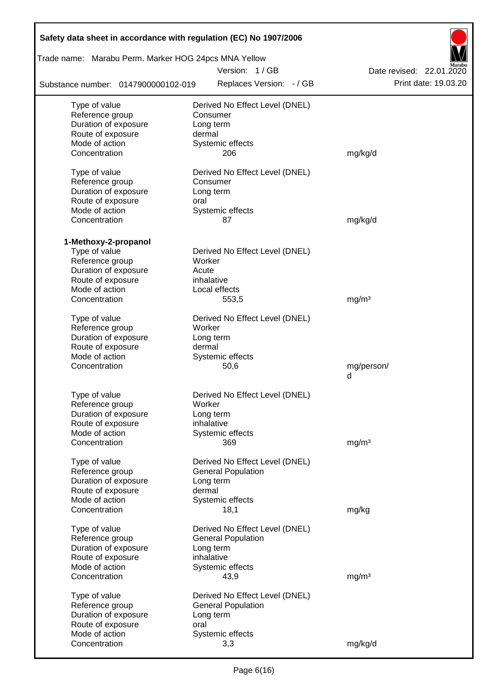| Safety data sheet in accordance with regulation (EC) No 1907/2006 |                                |                          |  |  |  |  |  |  |  |
|-------------------------------------------------------------------|--------------------------------|--------------------------|--|--|--|--|--|--|--|
| Trade name: Marabu Perm. Marker HOG 24pcs MNA Yellow              |                                |                          |  |  |  |  |  |  |  |
|                                                                   | Version: 1/GB                  | Date revised: 22.01.2020 |  |  |  |  |  |  |  |
| Substance number: 0147900000102-019                               | Replaces Version: - / GB       | Print date: 19.03.20     |  |  |  |  |  |  |  |
| Type of value                                                     | Derived No Effect Level (DNEL) |                          |  |  |  |  |  |  |  |
| Reference group                                                   | Consumer                       |                          |  |  |  |  |  |  |  |
| Duration of exposure                                              | Long term                      |                          |  |  |  |  |  |  |  |
| Route of exposure                                                 | dermal                         |                          |  |  |  |  |  |  |  |
| Mode of action                                                    | Systemic effects               |                          |  |  |  |  |  |  |  |
| Concentration                                                     | 206                            | mg/kg/d                  |  |  |  |  |  |  |  |
| Type of value                                                     | Derived No Effect Level (DNEL) |                          |  |  |  |  |  |  |  |
| Reference group                                                   | Consumer                       |                          |  |  |  |  |  |  |  |
| Duration of exposure                                              | Long term                      |                          |  |  |  |  |  |  |  |
| Route of exposure                                                 | oral                           |                          |  |  |  |  |  |  |  |
| Mode of action                                                    | Systemic effects               |                          |  |  |  |  |  |  |  |
| Concentration                                                     | 87                             | mg/kg/d                  |  |  |  |  |  |  |  |
| 1-Methoxy-2-propanol                                              |                                |                          |  |  |  |  |  |  |  |
| Type of value                                                     | Derived No Effect Level (DNEL) |                          |  |  |  |  |  |  |  |
| Reference group                                                   | Worker                         |                          |  |  |  |  |  |  |  |
| Duration of exposure                                              | Acute                          |                          |  |  |  |  |  |  |  |
| Route of exposure                                                 | inhalative                     |                          |  |  |  |  |  |  |  |
| Mode of action                                                    | Local effects                  |                          |  |  |  |  |  |  |  |
| Concentration                                                     | 553,5                          | mg/m <sup>3</sup>        |  |  |  |  |  |  |  |
| Type of value                                                     | Derived No Effect Level (DNEL) |                          |  |  |  |  |  |  |  |
| Reference group                                                   | Worker                         |                          |  |  |  |  |  |  |  |
| Duration of exposure                                              | Long term                      |                          |  |  |  |  |  |  |  |
| Route of exposure                                                 | dermal                         |                          |  |  |  |  |  |  |  |
| Mode of action                                                    | Systemic effects               |                          |  |  |  |  |  |  |  |
| Concentration                                                     | 50,6                           | mg/person/               |  |  |  |  |  |  |  |
|                                                                   |                                | d                        |  |  |  |  |  |  |  |
| Type of value                                                     | Derived No Effect Level (DNEL) |                          |  |  |  |  |  |  |  |
| Reference group                                                   | Worker                         |                          |  |  |  |  |  |  |  |
| Duration of exposure                                              | Long term                      |                          |  |  |  |  |  |  |  |
| Route of exposure                                                 | inhalative                     |                          |  |  |  |  |  |  |  |
| Mode of action                                                    | Systemic effects               |                          |  |  |  |  |  |  |  |
| Concentration                                                     | 369                            | mg/m <sup>3</sup>        |  |  |  |  |  |  |  |
| Type of value                                                     | Derived No Effect Level (DNEL) |                          |  |  |  |  |  |  |  |
| Reference group                                                   | <b>General Population</b>      |                          |  |  |  |  |  |  |  |
| Duration of exposure                                              | Long term                      |                          |  |  |  |  |  |  |  |
| Route of exposure                                                 | dermal                         |                          |  |  |  |  |  |  |  |
| Mode of action                                                    | Systemic effects               |                          |  |  |  |  |  |  |  |
| Concentration                                                     | 18,1                           | mg/kg                    |  |  |  |  |  |  |  |
| Type of value                                                     | Derived No Effect Level (DNEL) |                          |  |  |  |  |  |  |  |
| Reference group                                                   | <b>General Population</b>      |                          |  |  |  |  |  |  |  |
| Duration of exposure                                              | Long term                      |                          |  |  |  |  |  |  |  |
| Route of exposure                                                 | inhalative                     |                          |  |  |  |  |  |  |  |
| Mode of action                                                    | Systemic effects               |                          |  |  |  |  |  |  |  |
| Concentration                                                     | 43,9                           | mg/m <sup>3</sup>        |  |  |  |  |  |  |  |
| Type of value                                                     | Derived No Effect Level (DNEL) |                          |  |  |  |  |  |  |  |
| Reference group                                                   | <b>General Population</b>      |                          |  |  |  |  |  |  |  |
| Duration of exposure                                              | Long term                      |                          |  |  |  |  |  |  |  |
| Route of exposure                                                 | oral                           |                          |  |  |  |  |  |  |  |
| Mode of action                                                    | Systemic effects               |                          |  |  |  |  |  |  |  |
| Concentration                                                     | 3,3                            | mg/kg/d                  |  |  |  |  |  |  |  |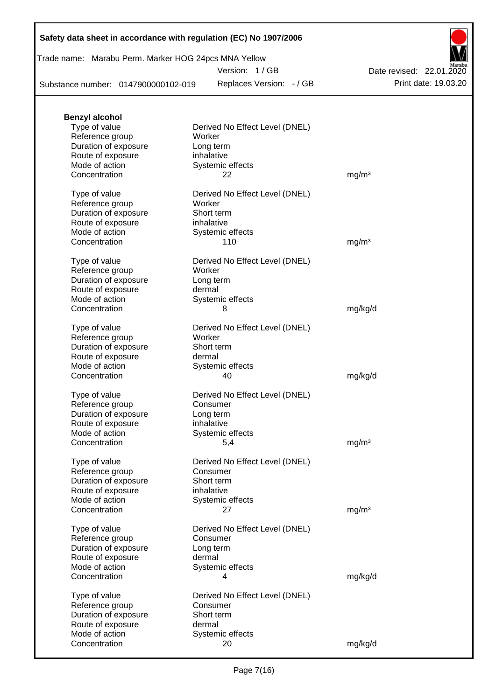|  | Safety data sheet in accordance with regulation (EC) No 1907/2006 |  |
|--|-------------------------------------------------------------------|--|
|--|-------------------------------------------------------------------|--|

| Trade name: Marabu Perm. Marker HOG 24pcs MNA Yellow |  |  |
|------------------------------------------------------|--|--|
|                                                      |  |  |

Version: 1 / GB

Replaces Version:  $-$  / GB Print date: 19.03.20 Date revised: 22.01.2020

Substance number: 0147900000102-019

| <b>Benzyl alcohol</b>                   |                                            |                   |  |
|-----------------------------------------|--------------------------------------------|-------------------|--|
| Type of value                           | Derived No Effect Level (DNEL)             |                   |  |
| Reference group                         | Worker                                     |                   |  |
| Duration of exposure                    | Long term                                  |                   |  |
| Route of exposure                       | inhalative                                 |                   |  |
| Mode of action<br>Concentration         | Systemic effects<br>22                     | mg/m <sup>3</sup> |  |
|                                         |                                            |                   |  |
| Type of value                           | Derived No Effect Level (DNEL)             |                   |  |
| Reference group                         | Worker                                     |                   |  |
| Duration of exposure                    | Short term                                 |                   |  |
| Route of exposure                       | inhalative                                 |                   |  |
| Mode of action                          | Systemic effects                           |                   |  |
| Concentration                           | 110                                        | mg/m <sup>3</sup> |  |
|                                         |                                            |                   |  |
| Type of value                           | Derived No Effect Level (DNEL)<br>Worker   |                   |  |
| Reference group<br>Duration of exposure | Long term                                  |                   |  |
| Route of exposure                       | dermal                                     |                   |  |
| Mode of action                          | Systemic effects                           |                   |  |
| Concentration                           | 8                                          | mg/kg/d           |  |
|                                         |                                            |                   |  |
| Type of value                           | Derived No Effect Level (DNEL)             |                   |  |
| Reference group                         | Worker                                     |                   |  |
| Duration of exposure                    | Short term                                 |                   |  |
| Route of exposure                       | dermal                                     |                   |  |
| Mode of action                          | Systemic effects                           |                   |  |
| Concentration                           | 40                                         | mg/kg/d           |  |
| Type of value                           | Derived No Effect Level (DNEL)             |                   |  |
| Reference group                         | Consumer                                   |                   |  |
| Duration of exposure                    | Long term                                  |                   |  |
| Route of exposure                       | inhalative                                 |                   |  |
| Mode of action                          | Systemic effects                           |                   |  |
| Concentration                           | 5,4                                        | mg/m <sup>3</sup> |  |
|                                         |                                            |                   |  |
| Type of value                           | Derived No Effect Level (DNEL)<br>Consumer |                   |  |
| Reference group<br>Duration of exposure | Short term                                 |                   |  |
| Route of exposure                       | inhalative                                 |                   |  |
| Mode of action                          | Systemic effects                           |                   |  |
| Concentration                           | 27                                         | mg/m <sup>3</sup> |  |
|                                         |                                            |                   |  |
| Type of value                           | Derived No Effect Level (DNEL)             |                   |  |
| Reference group                         | Consumer                                   |                   |  |
| Duration of exposure                    | Long term                                  |                   |  |
| Route of exposure                       | dermal                                     |                   |  |
| Mode of action<br>Concentration         | Systemic effects<br>4                      |                   |  |
|                                         |                                            | mg/kg/d           |  |
| Type of value                           | Derived No Effect Level (DNEL)             |                   |  |
| Reference group                         | Consumer                                   |                   |  |
| Duration of exposure                    | Short term                                 |                   |  |
| Route of exposure                       | dermal                                     |                   |  |
| Mode of action                          | Systemic effects                           |                   |  |
| Concentration                           | 20                                         | mg/kg/d           |  |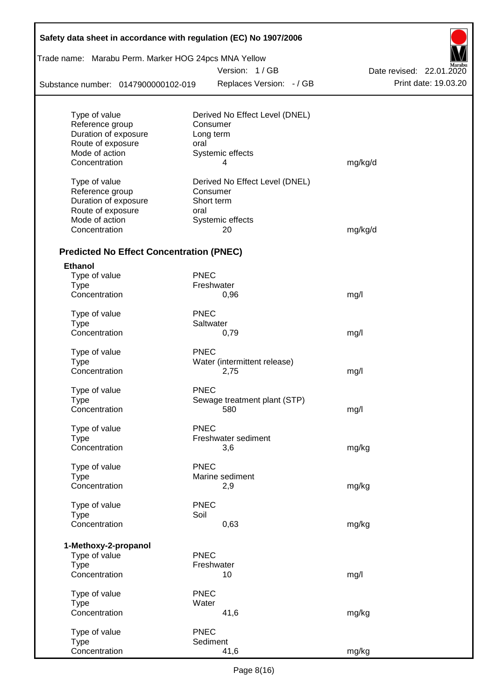| Safety data sheet in accordance with regulation (EC) No 1907/2006 |             |                                |                          |
|-------------------------------------------------------------------|-------------|--------------------------------|--------------------------|
| Trade name: Marabu Perm. Marker HOG 24pcs MNA Yellow              |             |                                |                          |
|                                                                   |             | Version: 1/GB                  | Date revised: 22.01.2020 |
| Substance number: 0147900000102-019                               |             | Replaces Version: - / GB       | Print date: 19.03.20     |
| Type of value                                                     |             | Derived No Effect Level (DNEL) |                          |
| Reference group                                                   | Consumer    |                                |                          |
| Duration of exposure                                              | Long term   |                                |                          |
| Route of exposure                                                 | oral        |                                |                          |
| Mode of action                                                    |             | Systemic effects               |                          |
| Concentration                                                     |             | 4                              | mg/kg/d                  |
| Type of value                                                     |             | Derived No Effect Level (DNEL) |                          |
| Reference group                                                   | Consumer    |                                |                          |
| Duration of exposure                                              | Short term  |                                |                          |
| Route of exposure                                                 | oral        |                                |                          |
| Mode of action                                                    |             | Systemic effects               |                          |
| Concentration                                                     |             | 20                             | mg/kg/d                  |
| <b>Predicted No Effect Concentration (PNEC)</b>                   |             |                                |                          |
| <b>Ethanol</b>                                                    |             |                                |                          |
| Type of value                                                     | <b>PNEC</b> |                                |                          |
| <b>Type</b>                                                       | Freshwater  |                                |                          |
| Concentration                                                     |             | 0,96                           | mg/l                     |
| Type of value                                                     | <b>PNEC</b> |                                |                          |
| <b>Type</b>                                                       | Saltwater   |                                |                          |
| Concentration                                                     |             | 0,79                           | mg/l                     |
| Type of value                                                     | <b>PNEC</b> |                                |                          |
| <b>Type</b>                                                       |             | Water (intermittent release)   |                          |
| Concentration                                                     |             | 2,75                           | mg/l                     |
| Type of value                                                     | <b>PNEC</b> |                                |                          |
| Type                                                              |             | Sewage treatment plant (STP)   |                          |
| Concentration                                                     |             | 580                            | mg/l                     |
| Type of value                                                     | <b>PNEC</b> |                                |                          |
| <b>Type</b>                                                       |             | Freshwater sediment            |                          |
| Concentration                                                     |             | 3,6                            | mg/kg                    |
| Type of value                                                     | <b>PNEC</b> |                                |                          |
| <b>Type</b>                                                       |             | Marine sediment                |                          |
| Concentration                                                     |             | 2,9                            | mg/kg                    |
| Type of value                                                     | <b>PNEC</b> |                                |                          |
| <b>Type</b>                                                       | Soil        |                                |                          |
| Concentration                                                     |             | 0,63                           | mg/kg                    |
| 1-Methoxy-2-propanol                                              |             |                                |                          |
| Type of value                                                     | <b>PNEC</b> |                                |                          |
| <b>Type</b>                                                       | Freshwater  |                                |                          |
| Concentration                                                     |             | 10                             | mg/l                     |
| Type of value                                                     | <b>PNEC</b> |                                |                          |
| <b>Type</b>                                                       | Water       |                                |                          |
| Concentration                                                     |             | 41,6                           | mg/kg                    |
| Type of value                                                     | <b>PNEC</b> |                                |                          |
| <b>Type</b>                                                       | Sediment    |                                |                          |
| Concentration                                                     |             | 41,6                           | mg/kg                    |

 $\mathsf{r}$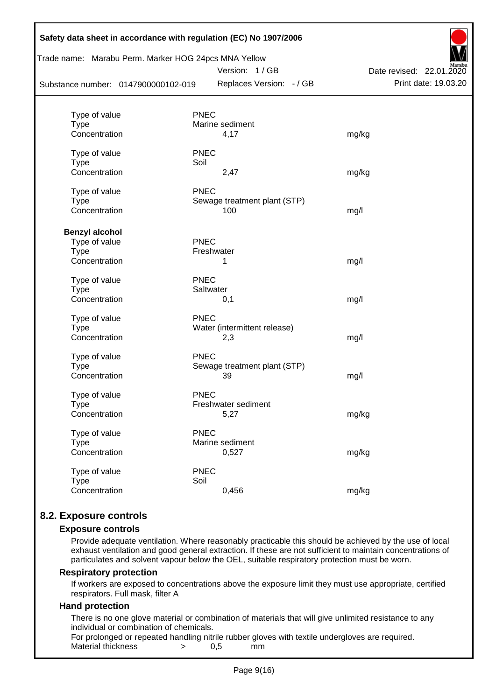| Safety data sheet in accordance with regulation (EC) No 1907/2006<br>Trade name: Marabu Perm. Marker HOG 24pcs MNA Yellow | Date revised: 22.01.2020 |                              |                      |
|---------------------------------------------------------------------------------------------------------------------------|--------------------------|------------------------------|----------------------|
| Substance number: 0147900000102-019                                                                                       |                          | Replaces Version: - / GB     | Print date: 19.03.20 |
|                                                                                                                           |                          |                              |                      |
| Type of value                                                                                                             | <b>PNEC</b>              |                              |                      |
| <b>Type</b><br>Concentration                                                                                              | Marine sediment          |                              |                      |
|                                                                                                                           | 4,17                     |                              | mg/kg                |
| Type of value                                                                                                             | <b>PNEC</b>              |                              |                      |
| <b>Type</b>                                                                                                               | Soil                     |                              |                      |
| Concentration                                                                                                             | 2,47                     |                              | mg/kg                |
| Type of value                                                                                                             | <b>PNEC</b>              |                              |                      |
| <b>Type</b>                                                                                                               |                          | Sewage treatment plant (STP) |                      |
| Concentration                                                                                                             | 100                      |                              | mg/l                 |
| <b>Benzyl alcohol</b>                                                                                                     |                          |                              |                      |
| Type of value                                                                                                             | <b>PNEC</b>              |                              |                      |
| <b>Type</b>                                                                                                               | Freshwater               |                              |                      |
| Concentration                                                                                                             | 1                        |                              | mg/l                 |
| Type of value                                                                                                             | <b>PNEC</b>              |                              |                      |
| <b>Type</b>                                                                                                               | Saltwater                |                              |                      |
| Concentration                                                                                                             | 0,1                      |                              | mg/l                 |
| Type of value                                                                                                             | <b>PNEC</b>              |                              |                      |
| Type                                                                                                                      |                          | Water (intermittent release) |                      |
| Concentration                                                                                                             | 2,3                      |                              | mg/l                 |
| Type of value                                                                                                             | <b>PNEC</b>              |                              |                      |
| <b>Type</b>                                                                                                               |                          | Sewage treatment plant (STP) |                      |
| Concentration                                                                                                             | 39                       |                              | mg/l                 |
| Type of value                                                                                                             | <b>PNEC</b>              |                              |                      |
| <b>Type</b>                                                                                                               | Freshwater sediment      |                              |                      |
| Concentration                                                                                                             | 5,27                     |                              | mg/kg                |
| Type of value                                                                                                             | <b>PNEC</b>              |                              |                      |
| <b>Type</b>                                                                                                               | Marine sediment          |                              |                      |
| Concentration                                                                                                             | 0,527                    |                              | mg/kg                |
| Type of value                                                                                                             | <b>PNEC</b>              |                              |                      |
| <b>Type</b>                                                                                                               | Soil                     |                              |                      |
| Concentration                                                                                                             | 0,456                    |                              | mg/kg                |
|                                                                                                                           |                          |                              |                      |

# **8.2. Exposure controls**

#### **Exposure controls**

Provide adequate ventilation. Where reasonably practicable this should be achieved by the use of local exhaust ventilation and good general extraction. If these are not sufficient to maintain concentrations of particulates and solvent vapour below the OEL, suitable respiratory protection must be worn.

#### **Respiratory protection**

If workers are exposed to concentrations above the exposure limit they must use appropriate, certified respirators. Full mask, filter A

#### **Hand protection**

There is no one glove material or combination of materials that will give unlimited resistance to any individual or combination of chemicals.

For prolonged or repeated handling nitrile rubber gloves with textile undergloves are required. Material thickness  $\rightarrow$  0,5 mm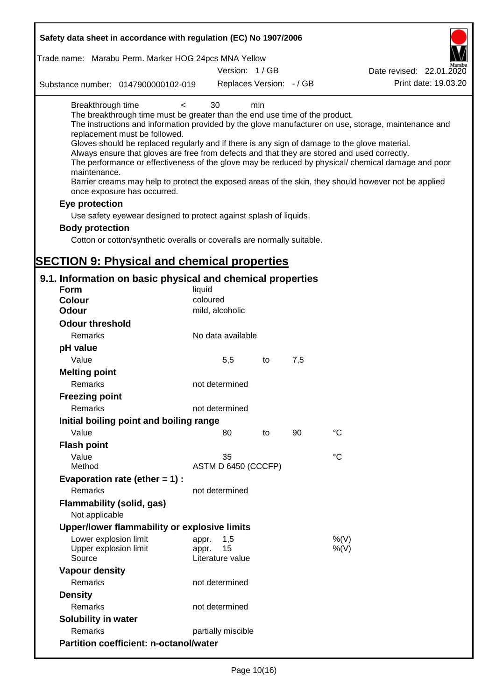| Safety data sheet in accordance with regulation (EC) No 1907/2006                                                                                                                                                                                                                                                                                                                                                                                                                                                                                                                                                                                                                                |                                 |    |     |                                                                                                                                                                                                            |
|--------------------------------------------------------------------------------------------------------------------------------------------------------------------------------------------------------------------------------------------------------------------------------------------------------------------------------------------------------------------------------------------------------------------------------------------------------------------------------------------------------------------------------------------------------------------------------------------------------------------------------------------------------------------------------------------------|---------------------------------|----|-----|------------------------------------------------------------------------------------------------------------------------------------------------------------------------------------------------------------|
| Trade name: Marabu Perm. Marker HOG 24pcs MNA Yellow                                                                                                                                                                                                                                                                                                                                                                                                                                                                                                                                                                                                                                             |                                 |    |     |                                                                                                                                                                                                            |
|                                                                                                                                                                                                                                                                                                                                                                                                                                                                                                                                                                                                                                                                                                  | Version: 1/GB                   |    |     | Date revised: 22.01.2020                                                                                                                                                                                   |
| Substance number: 0147900000102-019                                                                                                                                                                                                                                                                                                                                                                                                                                                                                                                                                                                                                                                              | Replaces Version: - / GB        |    |     | Print date: 19.03.20                                                                                                                                                                                       |
| Breakthrough time<br>$\prec$<br>The breakthrough time must be greater than the end use time of the product.<br>replacement must be followed.<br>Gloves should be replaced regularly and if there is any sign of damage to the glove material.<br>Always ensure that gloves are free from defects and that they are stored and used correctly.<br>maintenance.<br>Barrier creams may help to protect the exposed areas of the skin, they should however not be applied<br>once exposure has occurred.<br>Eye protection<br>Use safety eyewear designed to protect against splash of liquids.<br><b>Body protection</b><br>Cotton or cotton/synthetic overalls or coveralls are normally suitable. | 30<br>min                       |    |     | The instructions and information provided by the glove manufacturer on use, storage, maintenance and<br>The performance or effectiveness of the glove may be reduced by physical/ chemical damage and poor |
| <b>SECTION 9: Physical and chemical properties</b>                                                                                                                                                                                                                                                                                                                                                                                                                                                                                                                                                                                                                                               |                                 |    |     |                                                                                                                                                                                                            |
| 9.1. Information on basic physical and chemical properties                                                                                                                                                                                                                                                                                                                                                                                                                                                                                                                                                                                                                                       |                                 |    |     |                                                                                                                                                                                                            |
| <b>Form</b>                                                                                                                                                                                                                                                                                                                                                                                                                                                                                                                                                                                                                                                                                      | liquid                          |    |     |                                                                                                                                                                                                            |
| <b>Colour</b>                                                                                                                                                                                                                                                                                                                                                                                                                                                                                                                                                                                                                                                                                    | coloured                        |    |     |                                                                                                                                                                                                            |
| <b>Odour</b>                                                                                                                                                                                                                                                                                                                                                                                                                                                                                                                                                                                                                                                                                     | mild, alcoholic                 |    |     |                                                                                                                                                                                                            |
| <b>Odour threshold</b>                                                                                                                                                                                                                                                                                                                                                                                                                                                                                                                                                                                                                                                                           |                                 |    |     |                                                                                                                                                                                                            |
| Remarks                                                                                                                                                                                                                                                                                                                                                                                                                                                                                                                                                                                                                                                                                          | No data available               |    |     |                                                                                                                                                                                                            |
| pH value                                                                                                                                                                                                                                                                                                                                                                                                                                                                                                                                                                                                                                                                                         |                                 |    |     |                                                                                                                                                                                                            |
| Value                                                                                                                                                                                                                                                                                                                                                                                                                                                                                                                                                                                                                                                                                            | 5,5                             | to | 7,5 |                                                                                                                                                                                                            |
| <b>Melting point</b>                                                                                                                                                                                                                                                                                                                                                                                                                                                                                                                                                                                                                                                                             |                                 |    |     |                                                                                                                                                                                                            |
| Remarks                                                                                                                                                                                                                                                                                                                                                                                                                                                                                                                                                                                                                                                                                          | not determined                  |    |     |                                                                                                                                                                                                            |
| <b>Freezing point</b>                                                                                                                                                                                                                                                                                                                                                                                                                                                                                                                                                                                                                                                                            |                                 |    |     |                                                                                                                                                                                                            |
| Remarks                                                                                                                                                                                                                                                                                                                                                                                                                                                                                                                                                                                                                                                                                          | not determined                  |    |     |                                                                                                                                                                                                            |
| Initial boiling point and boiling range                                                                                                                                                                                                                                                                                                                                                                                                                                                                                                                                                                                                                                                          |                                 |    |     |                                                                                                                                                                                                            |
| Value                                                                                                                                                                                                                                                                                                                                                                                                                                                                                                                                                                                                                                                                                            | 80                              | to | 90  | $^{\circ}C$                                                                                                                                                                                                |
| <b>Flash point</b>                                                                                                                                                                                                                                                                                                                                                                                                                                                                                                                                                                                                                                                                               |                                 |    |     |                                                                                                                                                                                                            |
| Value                                                                                                                                                                                                                                                                                                                                                                                                                                                                                                                                                                                                                                                                                            | 35                              |    |     | °C                                                                                                                                                                                                         |
| Method                                                                                                                                                                                                                                                                                                                                                                                                                                                                                                                                                                                                                                                                                           | ASTM D 6450 (CCCFP)             |    |     |                                                                                                                                                                                                            |
| Evaporation rate (ether $= 1$ ) :                                                                                                                                                                                                                                                                                                                                                                                                                                                                                                                                                                                                                                                                |                                 |    |     |                                                                                                                                                                                                            |
| Remarks                                                                                                                                                                                                                                                                                                                                                                                                                                                                                                                                                                                                                                                                                          | not determined                  |    |     |                                                                                                                                                                                                            |
| Flammability (solid, gas)<br>Not applicable                                                                                                                                                                                                                                                                                                                                                                                                                                                                                                                                                                                                                                                      |                                 |    |     |                                                                                                                                                                                                            |
| Upper/lower flammability or explosive limits                                                                                                                                                                                                                                                                                                                                                                                                                                                                                                                                                                                                                                                     |                                 |    |     |                                                                                                                                                                                                            |
| Lower explosion limit                                                                                                                                                                                                                                                                                                                                                                                                                                                                                                                                                                                                                                                                            | 1,5<br>appr.                    |    |     | %(V)                                                                                                                                                                                                       |
| Upper explosion limit<br>Source                                                                                                                                                                                                                                                                                                                                                                                                                                                                                                                                                                                                                                                                  | 15<br>appr.<br>Literature value |    |     | $%$ (V)                                                                                                                                                                                                    |
| <b>Vapour density</b>                                                                                                                                                                                                                                                                                                                                                                                                                                                                                                                                                                                                                                                                            |                                 |    |     |                                                                                                                                                                                                            |
| Remarks                                                                                                                                                                                                                                                                                                                                                                                                                                                                                                                                                                                                                                                                                          | not determined                  |    |     |                                                                                                                                                                                                            |
| <b>Density</b>                                                                                                                                                                                                                                                                                                                                                                                                                                                                                                                                                                                                                                                                                   |                                 |    |     |                                                                                                                                                                                                            |
| Remarks                                                                                                                                                                                                                                                                                                                                                                                                                                                                                                                                                                                                                                                                                          | not determined                  |    |     |                                                                                                                                                                                                            |
| Solubility in water                                                                                                                                                                                                                                                                                                                                                                                                                                                                                                                                                                                                                                                                              |                                 |    |     |                                                                                                                                                                                                            |
| Remarks                                                                                                                                                                                                                                                                                                                                                                                                                                                                                                                                                                                                                                                                                          | partially miscible              |    |     |                                                                                                                                                                                                            |
| <b>Partition coefficient: n-octanol/water</b>                                                                                                                                                                                                                                                                                                                                                                                                                                                                                                                                                                                                                                                    |                                 |    |     |                                                                                                                                                                                                            |
|                                                                                                                                                                                                                                                                                                                                                                                                                                                                                                                                                                                                                                                                                                  |                                 |    |     |                                                                                                                                                                                                            |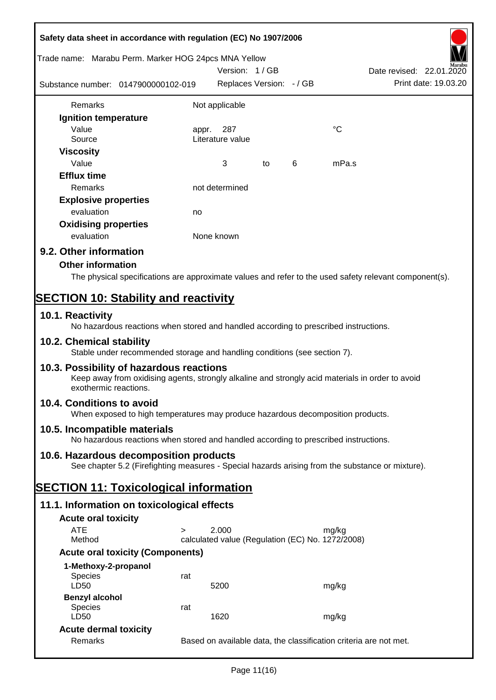| Safety data sheet in accordance with regulation (EC) No 1907/2006 |                                                                                                  |            |                                                  |    |   |             |                                                                                                        |
|-------------------------------------------------------------------|--------------------------------------------------------------------------------------------------|------------|--------------------------------------------------|----|---|-------------|--------------------------------------------------------------------------------------------------------|
| Trade name: Marabu Perm. Marker HOG 24pcs MNA Yellow              |                                                                                                  |            | Version: 1 / GB                                  |    |   |             | Date revised: 22.01.2020                                                                               |
| Substance number: 0147900000102-019                               |                                                                                                  |            | Replaces Version: - / GB                         |    |   |             | Print date: 19.03.20                                                                                   |
| Remarks                                                           |                                                                                                  |            | Not applicable                                   |    |   |             |                                                                                                        |
| Ignition temperature                                              |                                                                                                  |            |                                                  |    |   |             |                                                                                                        |
| Value<br>Source                                                   |                                                                                                  | appr.      | 287<br>Literature value                          |    |   | $^{\circ}C$ |                                                                                                        |
| <b>Viscosity</b>                                                  |                                                                                                  |            |                                                  |    |   |             |                                                                                                        |
| Value                                                             |                                                                                                  |            | 3                                                | to | 6 | mPa.s       |                                                                                                        |
| <b>Efflux time</b>                                                |                                                                                                  |            |                                                  |    |   |             |                                                                                                        |
| Remarks                                                           |                                                                                                  |            | not determined                                   |    |   |             |                                                                                                        |
| <b>Explosive properties</b>                                       |                                                                                                  |            |                                                  |    |   |             |                                                                                                        |
| evaluation                                                        |                                                                                                  | no         |                                                  |    |   |             |                                                                                                        |
| <b>Oxidising properties</b>                                       |                                                                                                  |            |                                                  |    |   |             |                                                                                                        |
| evaluation                                                        |                                                                                                  | None known |                                                  |    |   |             |                                                                                                        |
| 9.2. Other information                                            |                                                                                                  |            |                                                  |    |   |             |                                                                                                        |
| <b>Other information</b>                                          |                                                                                                  |            |                                                  |    |   |             |                                                                                                        |
|                                                                   |                                                                                                  |            |                                                  |    |   |             | The physical specifications are approximate values and refer to the used safety relevant component(s). |
|                                                                   |                                                                                                  |            |                                                  |    |   |             |                                                                                                        |
| <b>SECTION 10: Stability and reactivity</b>                       |                                                                                                  |            |                                                  |    |   |             |                                                                                                        |
| 10.1. Reactivity                                                  | No hazardous reactions when stored and handled according to prescribed instructions.             |            |                                                  |    |   |             |                                                                                                        |
| 10.2. Chemical stability                                          | Stable under recommended storage and handling conditions (see section 7).                        |            |                                                  |    |   |             |                                                                                                        |
| 10.3. Possibility of hazardous reactions<br>exothermic reactions. | Keep away from oxidising agents, strongly alkaline and strongly acid materials in order to avoid |            |                                                  |    |   |             |                                                                                                        |
| 10.4. Conditions to avoid                                         | When exposed to high temperatures may produce hazardous decomposition products.                  |            |                                                  |    |   |             |                                                                                                        |
| 10.5. Incompatible materials                                      | No hazardous reactions when stored and handled according to prescribed instructions.             |            |                                                  |    |   |             |                                                                                                        |
| 10.6. Hazardous decomposition products                            |                                                                                                  |            |                                                  |    |   |             |                                                                                                        |
|                                                                   | See chapter 5.2 (Firefighting measures - Special hazards arising from the substance or mixture). |            |                                                  |    |   |             |                                                                                                        |
| <b>SECTION 11: Toxicological information</b>                      |                                                                                                  |            |                                                  |    |   |             |                                                                                                        |
| 11.1. Information on toxicological effects                        |                                                                                                  |            |                                                  |    |   |             |                                                                                                        |
| <b>Acute oral toxicity</b>                                        |                                                                                                  |            |                                                  |    |   |             |                                                                                                        |
| <b>ATE</b>                                                        | $\geq$                                                                                           |            | 2.000                                            |    |   | mg/kg       |                                                                                                        |
| Method                                                            |                                                                                                  |            | calculated value (Regulation (EC) No. 1272/2008) |    |   |             |                                                                                                        |
|                                                                   | <b>Acute oral toxicity (Components)</b>                                                          |            |                                                  |    |   |             |                                                                                                        |
| 1-Methoxy-2-propanol                                              |                                                                                                  |            |                                                  |    |   |             |                                                                                                        |
| Species<br>LD50                                                   | rat                                                                                              |            |                                                  |    |   |             |                                                                                                        |
|                                                                   |                                                                                                  |            | 5200                                             |    |   | mg/kg       |                                                                                                        |
| <b>Benzyl alcohol</b><br><b>Species</b>                           | rat                                                                                              |            |                                                  |    |   |             |                                                                                                        |
| LD50                                                              |                                                                                                  |            | 1620                                             |    |   | mg/kg       |                                                                                                        |
| <b>Acute dermal toxicity</b>                                      |                                                                                                  |            |                                                  |    |   |             |                                                                                                        |
| Remarks                                                           |                                                                                                  |            |                                                  |    |   |             | Based on available data, the classification criteria are not met.                                      |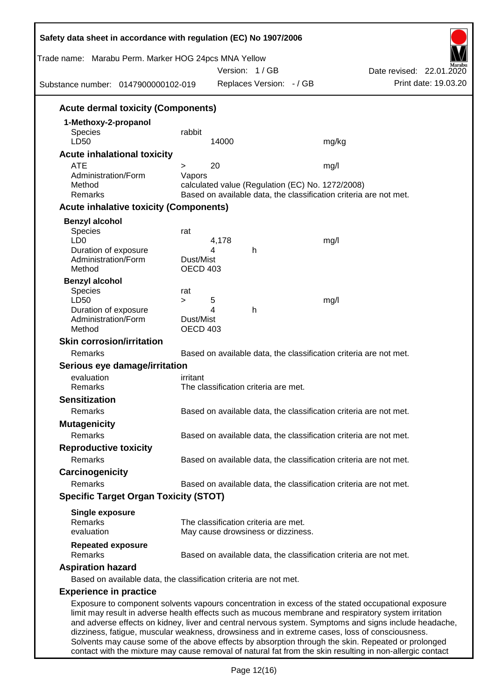| Trade name: Marabu Perm. Marker HOG 24pcs MNA Yellow<br>Substance number: 0147900000102-019                                                                                                            |                       | Version: 1/GB<br>Replaces Version: - / GB                                                                             |       | Date revised: 22.01.2020<br>Print date: 19.03.20                                                                                                                                                            |
|--------------------------------------------------------------------------------------------------------------------------------------------------------------------------------------------------------|-----------------------|-----------------------------------------------------------------------------------------------------------------------|-------|-------------------------------------------------------------------------------------------------------------------------------------------------------------------------------------------------------------|
| <b>Acute dermal toxicity (Components)</b>                                                                                                                                                              |                       |                                                                                                                       |       |                                                                                                                                                                                                             |
| 1-Methoxy-2-propanol                                                                                                                                                                                   |                       |                                                                                                                       |       |                                                                                                                                                                                                             |
| <b>Species</b><br>LD50                                                                                                                                                                                 | rabbit                | 14000                                                                                                                 | mg/kg |                                                                                                                                                                                                             |
| <b>Acute inhalational toxicity</b>                                                                                                                                                                     |                       |                                                                                                                       |       |                                                                                                                                                                                                             |
| <b>ATE</b>                                                                                                                                                                                             | $\geq$                | 20                                                                                                                    | mg/l  |                                                                                                                                                                                                             |
| Administration/Form<br>Method<br>Remarks                                                                                                                                                               | Vapors                | calculated value (Regulation (EC) No. 1272/2008)<br>Based on available data, the classification criteria are not met. |       |                                                                                                                                                                                                             |
| <b>Acute inhalative toxicity (Components)</b>                                                                                                                                                          |                       |                                                                                                                       |       |                                                                                                                                                                                                             |
| <b>Benzyl alcohol</b>                                                                                                                                                                                  |                       |                                                                                                                       |       |                                                                                                                                                                                                             |
| Species<br>LD <sub>0</sub><br>Duration of exposure                                                                                                                                                     | rat                   | 4,178<br>4<br>h                                                                                                       | mg/l  |                                                                                                                                                                                                             |
| Administration/Form<br>Method                                                                                                                                                                          | Dust/Mist<br>OECD 403 |                                                                                                                       |       |                                                                                                                                                                                                             |
| <b>Benzyl alcohol</b><br>Species<br>LD50                                                                                                                                                               | rat<br>$\geq$         | 5                                                                                                                     | mg/l  |                                                                                                                                                                                                             |
| Duration of exposure<br>Administration/Form<br>Method                                                                                                                                                  | Dust/Mist<br>OECD 403 | 4<br>h                                                                                                                |       |                                                                                                                                                                                                             |
| <b>Skin corrosion/irritation</b>                                                                                                                                                                       |                       |                                                                                                                       |       |                                                                                                                                                                                                             |
| Remarks                                                                                                                                                                                                |                       | Based on available data, the classification criteria are not met.                                                     |       |                                                                                                                                                                                                             |
| Serious eye damage/irritation                                                                                                                                                                          |                       |                                                                                                                       |       |                                                                                                                                                                                                             |
| evaluation                                                                                                                                                                                             | irritant              |                                                                                                                       |       |                                                                                                                                                                                                             |
| Remarks                                                                                                                                                                                                |                       | The classification criteria are met.                                                                                  |       |                                                                                                                                                                                                             |
| <b>Sensitization</b>                                                                                                                                                                                   |                       |                                                                                                                       |       |                                                                                                                                                                                                             |
| Remarks                                                                                                                                                                                                |                       | Based on available data, the classification criteria are not met.                                                     |       |                                                                                                                                                                                                             |
| <b>Mutagenicity</b>                                                                                                                                                                                    |                       |                                                                                                                       |       |                                                                                                                                                                                                             |
| Remarks                                                                                                                                                                                                |                       | Based on available data, the classification criteria are not met.                                                     |       |                                                                                                                                                                                                             |
| <b>Reproductive toxicity</b>                                                                                                                                                                           |                       |                                                                                                                       |       |                                                                                                                                                                                                             |
| Remarks                                                                                                                                                                                                |                       | Based on available data, the classification criteria are not met.                                                     |       |                                                                                                                                                                                                             |
| Carcinogenicity                                                                                                                                                                                        |                       |                                                                                                                       |       |                                                                                                                                                                                                             |
| Remarks                                                                                                                                                                                                |                       | Based on available data, the classification criteria are not met.                                                     |       |                                                                                                                                                                                                             |
| <b>Specific Target Organ Toxicity (STOT)</b>                                                                                                                                                           |                       |                                                                                                                       |       |                                                                                                                                                                                                             |
| <b>Single exposure</b><br>Remarks                                                                                                                                                                      |                       | The classification criteria are met.                                                                                  |       |                                                                                                                                                                                                             |
| evaluation                                                                                                                                                                                             |                       | May cause drowsiness or dizziness.                                                                                    |       |                                                                                                                                                                                                             |
| <b>Repeated exposure</b><br>Remarks                                                                                                                                                                    |                       | Based on available data, the classification criteria are not met.                                                     |       |                                                                                                                                                                                                             |
| <b>Aspiration hazard</b>                                                                                                                                                                               |                       |                                                                                                                       |       |                                                                                                                                                                                                             |
| Based on available data, the classification criteria are not met.                                                                                                                                      |                       |                                                                                                                       |       |                                                                                                                                                                                                             |
| <b>Experience in practice</b>                                                                                                                                                                          |                       |                                                                                                                       |       |                                                                                                                                                                                                             |
| limit may result in adverse health effects such as mucous membrane and respiratory system irritation<br>dizziness, fatigue, muscular weakness, drowsiness and in extreme cases, loss of consciousness. |                       |                                                                                                                       |       | Exposure to component solvents vapours concentration in excess of the stated occupational exposure<br>and adverse effects on kidney, liver and central nervous system. Symptoms and signs include headache, |

Solvents may cause some of the above effects by absorption through the skin. Repeated or prolonged contact with the mixture may cause removal of natural fat from the skin resulting in non-allergic contact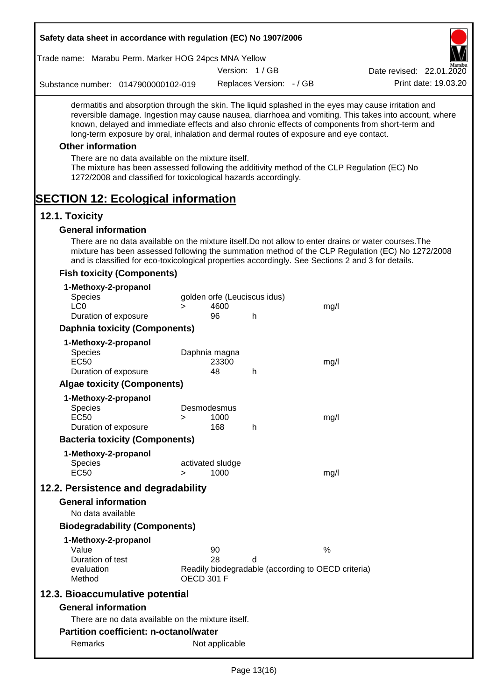| Safety data sheet in accordance with regulation (EC) No 1907/2006                                                                                                                                                                                                                                                                                                                                                                                                                                                                                                                                                                                             |                   |                              |                          |                                                    |                                                                                                  |
|---------------------------------------------------------------------------------------------------------------------------------------------------------------------------------------------------------------------------------------------------------------------------------------------------------------------------------------------------------------------------------------------------------------------------------------------------------------------------------------------------------------------------------------------------------------------------------------------------------------------------------------------------------------|-------------------|------------------------------|--------------------------|----------------------------------------------------|--------------------------------------------------------------------------------------------------|
| Trade name: Marabu Perm. Marker HOG 24pcs MNA Yellow                                                                                                                                                                                                                                                                                                                                                                                                                                                                                                                                                                                                          |                   |                              |                          |                                                    |                                                                                                  |
|                                                                                                                                                                                                                                                                                                                                                                                                                                                                                                                                                                                                                                                               |                   |                              | Version: 1/GB            |                                                    | Date revised: 22.01.2020                                                                         |
| Substance number: 0147900000102-019                                                                                                                                                                                                                                                                                                                                                                                                                                                                                                                                                                                                                           |                   |                              | Replaces Version: - / GB |                                                    | Print date: 19.03.20                                                                             |
| dermatitis and absorption through the skin. The liquid splashed in the eyes may cause irritation and<br>reversible damage. Ingestion may cause nausea, diarrhoea and vomiting. This takes into account, where<br>known, delayed and immediate effects and also chronic effects of components from short-term and<br>long-term exposure by oral, inhalation and dermal routes of exposure and eye contact.<br><b>Other information</b><br>There are no data available on the mixture itself.<br>The mixture has been assessed following the additivity method of the CLP Regulation (EC) No<br>1272/2008 and classified for toxicological hazards accordingly. |                   |                              |                          |                                                    |                                                                                                  |
| <b>SECTION 12: Ecological information</b>                                                                                                                                                                                                                                                                                                                                                                                                                                                                                                                                                                                                                     |                   |                              |                          |                                                    |                                                                                                  |
| 12.1. Toxicity<br><b>General information</b>                                                                                                                                                                                                                                                                                                                                                                                                                                                                                                                                                                                                                  |                   |                              |                          |                                                    |                                                                                                  |
| There are no data available on the mixture itself. Do not allow to enter drains or water courses. The<br>and is classified for eco-toxicological properties accordingly. See Sections 2 and 3 for details.                                                                                                                                                                                                                                                                                                                                                                                                                                                    |                   |                              |                          |                                                    | mixture has been assessed following the summation method of the CLP Regulation (EC) No 1272/2008 |
| <b>Fish toxicity (Components)</b>                                                                                                                                                                                                                                                                                                                                                                                                                                                                                                                                                                                                                             |                   |                              |                          |                                                    |                                                                                                  |
| 1-Methoxy-2-propanol<br><b>Species</b>                                                                                                                                                                                                                                                                                                                                                                                                                                                                                                                                                                                                                        |                   | golden orfe (Leuciscus idus) |                          |                                                    |                                                                                                  |
| LC <sub>0</sub>                                                                                                                                                                                                                                                                                                                                                                                                                                                                                                                                                                                                                                               | $\geq$            | 4600                         |                          | mg/l                                               |                                                                                                  |
| Duration of exposure                                                                                                                                                                                                                                                                                                                                                                                                                                                                                                                                                                                                                                          |                   | 96                           | h                        |                                                    |                                                                                                  |
| <b>Daphnia toxicity (Components)</b>                                                                                                                                                                                                                                                                                                                                                                                                                                                                                                                                                                                                                          |                   |                              |                          |                                                    |                                                                                                  |
| 1-Methoxy-2-propanol                                                                                                                                                                                                                                                                                                                                                                                                                                                                                                                                                                                                                                          |                   |                              |                          |                                                    |                                                                                                  |
| <b>Species</b>                                                                                                                                                                                                                                                                                                                                                                                                                                                                                                                                                                                                                                                |                   | Daphnia magna                |                          |                                                    |                                                                                                  |
| <b>EC50</b><br>Duration of exposure                                                                                                                                                                                                                                                                                                                                                                                                                                                                                                                                                                                                                           |                   | 23300<br>48                  | h                        | mg/l                                               |                                                                                                  |
| <b>Algae toxicity (Components)</b>                                                                                                                                                                                                                                                                                                                                                                                                                                                                                                                                                                                                                            |                   |                              |                          |                                                    |                                                                                                  |
|                                                                                                                                                                                                                                                                                                                                                                                                                                                                                                                                                                                                                                                               |                   |                              |                          |                                                    |                                                                                                  |
| 1-Methoxy-2-propanol<br><b>Species</b>                                                                                                                                                                                                                                                                                                                                                                                                                                                                                                                                                                                                                        |                   | Desmodesmus                  |                          |                                                    |                                                                                                  |
| <b>EC50</b>                                                                                                                                                                                                                                                                                                                                                                                                                                                                                                                                                                                                                                                   | >                 | 1000                         |                          | mg/l                                               |                                                                                                  |
| Duration of exposure                                                                                                                                                                                                                                                                                                                                                                                                                                                                                                                                                                                                                                          |                   | 168                          | h                        |                                                    |                                                                                                  |
| <b>Bacteria toxicity (Components)</b>                                                                                                                                                                                                                                                                                                                                                                                                                                                                                                                                                                                                                         |                   |                              |                          |                                                    |                                                                                                  |
| 1-Methoxy-2-propanol                                                                                                                                                                                                                                                                                                                                                                                                                                                                                                                                                                                                                                          |                   |                              |                          |                                                    |                                                                                                  |
| <b>Species</b>                                                                                                                                                                                                                                                                                                                                                                                                                                                                                                                                                                                                                                                |                   | activated sludge             |                          |                                                    |                                                                                                  |
| <b>EC50</b>                                                                                                                                                                                                                                                                                                                                                                                                                                                                                                                                                                                                                                                   | $\geq$            | 1000                         |                          | mg/l                                               |                                                                                                  |
| 12.2. Persistence and degradability                                                                                                                                                                                                                                                                                                                                                                                                                                                                                                                                                                                                                           |                   |                              |                          |                                                    |                                                                                                  |
| <b>General information</b>                                                                                                                                                                                                                                                                                                                                                                                                                                                                                                                                                                                                                                    |                   |                              |                          |                                                    |                                                                                                  |
| No data available                                                                                                                                                                                                                                                                                                                                                                                                                                                                                                                                                                                                                                             |                   |                              |                          |                                                    |                                                                                                  |
| <b>Biodegradability (Components)</b>                                                                                                                                                                                                                                                                                                                                                                                                                                                                                                                                                                                                                          |                   |                              |                          |                                                    |                                                                                                  |
| 1-Methoxy-2-propanol                                                                                                                                                                                                                                                                                                                                                                                                                                                                                                                                                                                                                                          |                   |                              |                          |                                                    |                                                                                                  |
| Value                                                                                                                                                                                                                                                                                                                                                                                                                                                                                                                                                                                                                                                         |                   | 90                           |                          | $\%$                                               |                                                                                                  |
| Duration of test<br>evaluation                                                                                                                                                                                                                                                                                                                                                                                                                                                                                                                                                                                                                                |                   | 28                           | d                        | Readily biodegradable (according to OECD criteria) |                                                                                                  |
| Method                                                                                                                                                                                                                                                                                                                                                                                                                                                                                                                                                                                                                                                        | <b>OECD 301 F</b> |                              |                          |                                                    |                                                                                                  |
| 12.3. Bioaccumulative potential                                                                                                                                                                                                                                                                                                                                                                                                                                                                                                                                                                                                                               |                   |                              |                          |                                                    |                                                                                                  |
| <b>General information</b>                                                                                                                                                                                                                                                                                                                                                                                                                                                                                                                                                                                                                                    |                   |                              |                          |                                                    |                                                                                                  |
| There are no data available on the mixture itself.                                                                                                                                                                                                                                                                                                                                                                                                                                                                                                                                                                                                            |                   |                              |                          |                                                    |                                                                                                  |
| <b>Partition coefficient: n-octanol/water</b>                                                                                                                                                                                                                                                                                                                                                                                                                                                                                                                                                                                                                 |                   |                              |                          |                                                    |                                                                                                  |
| Remarks                                                                                                                                                                                                                                                                                                                                                                                                                                                                                                                                                                                                                                                       |                   | Not applicable               |                          |                                                    |                                                                                                  |
|                                                                                                                                                                                                                                                                                                                                                                                                                                                                                                                                                                                                                                                               |                   |                              |                          |                                                    |                                                                                                  |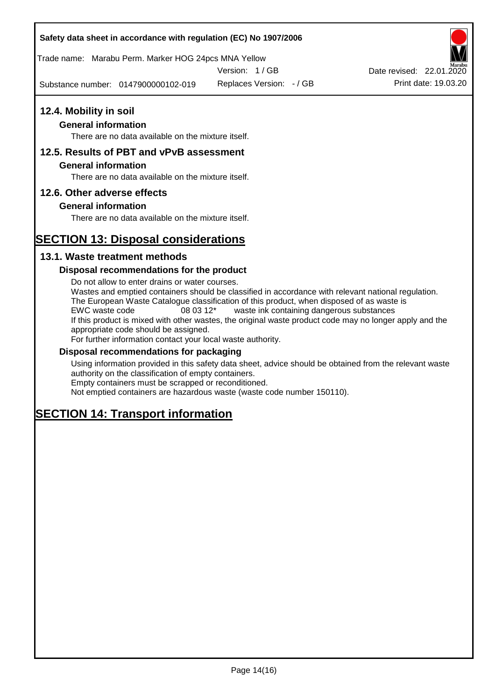## **Safety data sheet in accordance with regulation (EC) No 1907/2006**

Trade name: Marabu Perm. Marker HOG 24pcs MNA Yellow

Version: 1 / GB

Substance number: 0147900000102-019

Replaces Version: - / GB Print date: 19.03.20 Date revised: 22.01.2020

# **12.4. Mobility in soil**

# **General information**

There are no data available on the mixture itself.

# **12.5. Results of PBT and vPvB assessment**

## **General information**

There are no data available on the mixture itself.

# **12.6. Other adverse effects**

# **General information**

There are no data available on the mixture itself.

# **SECTION 13: Disposal considerations**

# **13.1. Waste treatment methods**

# **Disposal recommendations for the product**

Do not allow to enter drains or water courses. Wastes and emptied containers should be classified in accordance with relevant national regulation. The European Waste Catalogue classification of this product, when disposed of as waste is EWC waste code 08 03 12\* waste ink containing dangerous substances If this product is mixed with other wastes, the original waste product code may no longer apply and the appropriate code should be assigned. For further information contact your local waste authority.

## **Disposal recommendations for packaging**

Using information provided in this safety data sheet, advice should be obtained from the relevant waste authority on the classification of empty containers. Empty containers must be scrapped or reconditioned.

Not emptied containers are hazardous waste (waste code number 150110).

# **SECTION 14: Transport information**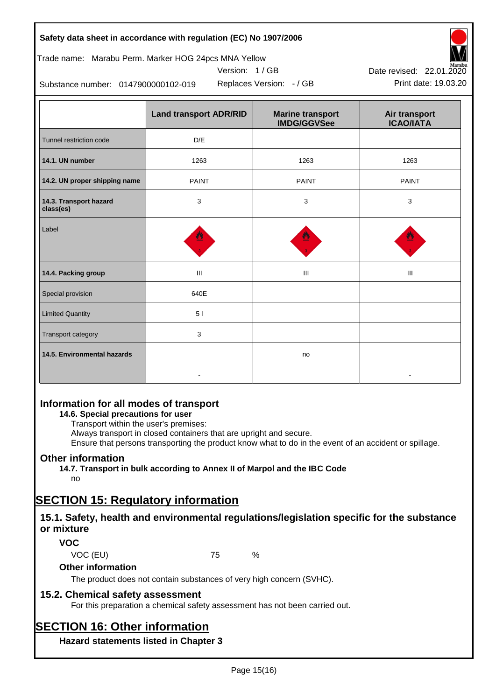| Safety data sheet in accordance with regulation (EC) No 1907/2006 |  |
|-------------------------------------------------------------------|--|
|-------------------------------------------------------------------|--|

# Trade name: Marabu Perm. Marker HOG 24pcs MNA Yellow





Substance number: 0147900000102-019

|                                     | <b>Land transport ADR/RID</b> | <b>Marine transport</b><br><b>IMDG/GGVSee</b> | Air transport<br><b>ICAO/IATA</b> |
|-------------------------------------|-------------------------------|-----------------------------------------------|-----------------------------------|
| Tunnel restriction code             | D/E                           |                                               |                                   |
| 14.1. UN number                     | 1263                          | 1263                                          | 1263                              |
| 14.2. UN proper shipping name       | <b>PAINT</b>                  | <b>PAINT</b>                                  | <b>PAINT</b>                      |
| 14.3. Transport hazard<br>class(es) | 3                             | 3                                             | 3                                 |
| Label                               |                               |                                               |                                   |
| 14.4. Packing group                 | Ш                             | Ш                                             | Ш                                 |
| Special provision                   | 640E                          |                                               |                                   |
| <b>Limited Quantity</b>             | 51                            |                                               |                                   |
| Transport category                  | 3                             |                                               |                                   |
| 14.5. Environmental hazards         |                               | no                                            |                                   |

# **Information for all modes of transport**

## **14.6. Special precautions for user**

Transport within the user's premises:

Always transport in closed containers that are upright and secure.

Ensure that persons transporting the product know what to do in the event of an accident or spillage.

# **Other information**

**14.7. Transport in bulk according to Annex II of Marpol and the IBC Code**

# no

# **SECTION 15: Regulatory information**

# **15.1. Safety, health and environmental regulations/legislation specific for the substance or mixture**

## **VOC**

VOC (EU) 75 %

## **Other information**

The product does not contain substances of very high concern (SVHC).

# **15.2. Chemical safety assessment**

For this preparation a chemical safety assessment has not been carried out.

# **SECTION 16: Other information**

**Hazard statements listed in Chapter 3**